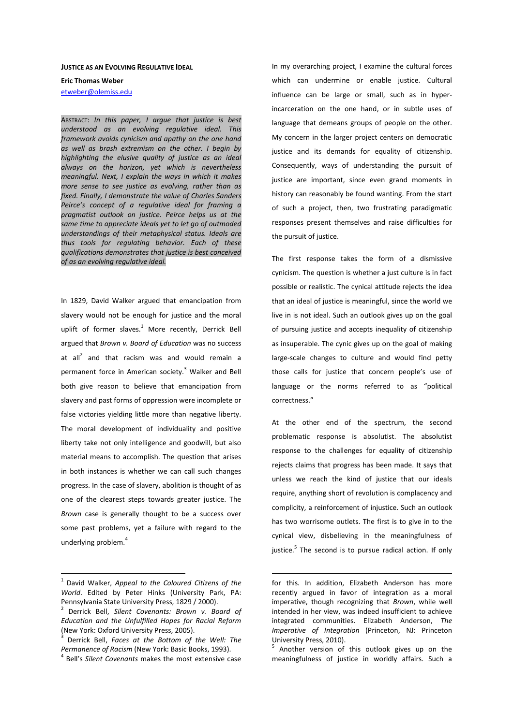#### **JUSTICE AS AN EVOLVING REGULATIVE IDEAL**

**Eric Thomas Weber** 

etweber@olemiss.edu

ABSTRACT: *In this paper, I argue that justice is best understood as an evolving regulative ideal. This framework avoids cynicism and apathy on the one hand as well as brash extremism on the other. I begin by highlighting the elusive quality of justice as an ideal always on the horizon, yet which is nevertheless meaningful. Next, I explain the ways in which it makes more sense to see justice as evolving, rather than as fixed. Finally, I demonstrate the value of Charles Sanders Peirce's concept of a regulative ideal for framing a pragmatist outlook on justice. Peirce helps us at the same time to appreciate ideals yet to let go of outmoded understandings of their metaphysical status. Ideals are thus tools for regulating behavior. Each of these qualifications demonstrates that justice is best conceived of as an evolving regulative ideal.*

In 1829, David Walker argued that emancipation from slavery would not be enough for justice and the moral uplift of former slaves.<sup>1</sup> More recently, Derrick Bell argued that *Brown v. Board of Education* was no success at all<sup>2</sup> and that racism was and would remain a permanent force in American society.<sup>3</sup> Walker and Bell both give reason to believe that emancipation from slavery and past forms of oppression were incomplete or false victories yielding little more than negative liberty. The moral development of individuality and positive liberty take not only intelligence and goodwill, but also material means to accomplish. The question that arises in both instances is whether we can call such changes progress. In the case of slavery, abolition is thought of as one of the clearest steps towards greater justice. The *Brown* case is generally thought to be a success over some past problems, yet a failure with regard to the underlying problem.<sup>4</sup>

 $\overline{a}$ 

In my overarching project, I examine the cultural forces which can undermine or enable justice. Cultural influence can be large or small, such as in hyperincarceration on the one hand, or in subtle uses of language that demeans groups of people on the other. My concern in the larger project centers on democratic justice and its demands for equality of citizenship. Consequently, ways of understanding the pursuit of justice are important, since even grand moments in history can reasonably be found wanting. From the start of such a project, then, two frustrating paradigmatic responses present themselves and raise difficulties for the pursuit of justice.

The first response takes the form of a dismissive cynicism. The question is whether a just culture is in fact possible or realistic. The cynical attitude rejects the idea that an ideal of justice is meaningful, since the world we live in is not ideal. Such an outlook gives up on the goal of pursuing justice and accepts inequality of citizenship as insuperable. The cynic gives up on the goal of making large-scale changes to culture and would find petty those calls for justice that concern people's use of language or the norms referred to as "political correctness."

At the other end of the spectrum, the second problematic response is absolutist. The absolutist response to the challenges for equality of citizenship rejects claims that progress has been made. It says that unless we reach the kind of justice that our ideals require, anything short of revolution is complacency and complicity, a reinforcement of injustice. Such an outlook has two worrisome outlets. The first is to give in to the cynical view, disbelieving in the meaningfulness of justice.<sup>5</sup> The second is to pursue radical action. If only

 $\overline{a}$ 

<sup>5</sup> Another version of this outlook gives up on the meaningfulness of justice in worldly affairs. Such a

<sup>1</sup> David Walker, *Appeal to the Coloured Citizens of the World*. Edited by Peter Hinks (University Park, PA: Pennsylvania State University Press, 1829 / 2000).

<sup>2</sup> Derrick Bell, *Silent Covenants: Brown v. Board of Education and the Unfulfilled Hopes for Racial Reform* (New York: Oxford University Press, 2005).

<sup>3</sup> Derrick Bell, *Faces at the Bottom of the Well: The Permanence of Racism* (New York: Basic Books, 1993).

<sup>4</sup> Bell's *Silent Covenants* makes the most extensive case

for this. In addition, Elizabeth Anderson has more recently argued in favor of integration as a moral imperative, though recognizing that *Brown*, while well intended in her view, was indeed insufficient to achieve integrated communities. Elizabeth Anderson, *The Imperative of Integration* (Princeton, NJ: Princeton University Press, 2010).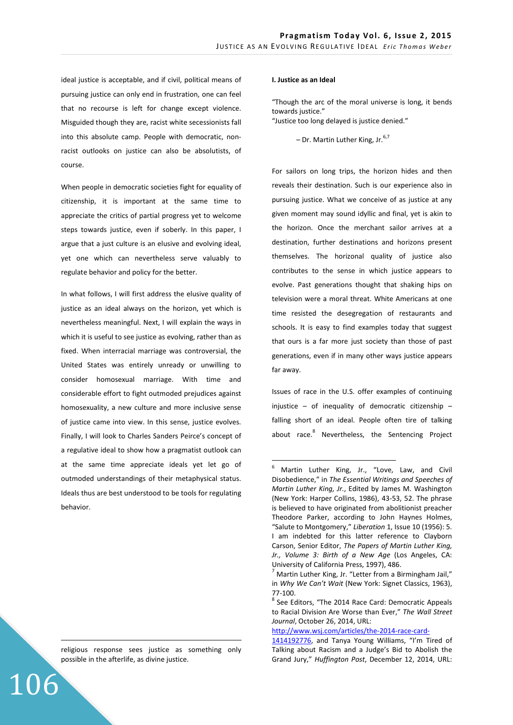ideal justice is acceptable, and if civil, political means of pursuing justice can only end in frustration, one can feel that no recourse is left for change except violence. Misguided though they are, racist white secessionists fall into this absolute camp. People with democratic, nonracist outlooks on justice can also be absolutists, of course.

When people in democratic societies fight for equality of citizenship, it is important at the same time to appreciate the critics of partial progress yet to welcome steps towards justice, even if soberly. In this paper, I argue that a just culture is an elusive and evolving ideal, yet one which can nevertheless serve valuably to regulate behavior and policy for the better.

In what follows, I will first address the elusive quality of justice as an ideal always on the horizon, yet which is nevertheless meaningful. Next, I will explain the ways in which it is useful to see justice as evolving, rather than as fixed. When interracial marriage was controversial, the United States was entirely unready or unwilling to consider homosexual marriage. With time and considerable effort to fight outmoded prejudices against homosexuality, a new culture and more inclusive sense of justice came into view. In this sense, justice evolves. Finally, I will look to Charles Sanders Peirce's concept of a regulative ideal to show how a pragmatist outlook can at the same time appreciate ideals yet let go of outmoded understandings of their metaphysical status. Ideals thus are best understood to be tools for regulating behavior.

religious response sees justice as something only possible in the afterlife, as divine justice.

106

<u>.</u>

### **I. Justice as an Ideal**

"Though the arc of the moral universe is long, it bends towards justice." "Justice too long delayed is justice denied."

 $-$  Dr. Martin Luther King, Jr. $^{6,7}$ 

For sailors on long trips, the horizon hides and then reveals their destination. Such is our experience also in pursuing justice. What we conceive of as justice at any given moment may sound idyllic and final, yet is akin to the horizon. Once the merchant sailor arrives at a destination, further destinations and horizons present themselves. The horizonal quality of justice also contributes to the sense in which justice appears to evolve. Past generations thought that shaking hips on television were a moral threat. White Americans at one time resisted the desegregation of restaurants and schools. It is easy to find examples today that suggest that ours is a far more just society than those of past generations, even if in many other ways justice appears far away.

Issues of race in the U.S. offer examples of continuing injustice – of inequality of democratic citizenship – falling short of an ideal. People often tire of talking about race.<sup>8</sup> Nevertheless, the Sentencing Project

<sup>6</sup> Martin Luther King, Jr., "Love, Law, and Civil Disobedience," in *The Essential Writings and Speeches of Martin Luther King, Jr.*, Edited by James M. Washington (New York: Harper Collins, 1986), 43-53, 52. The phrase is believed to have originated from abolitionist preacher Theodore Parker, according to John Haynes Holmes, "Salute to Montgomery," *Liberation* 1, Issue 10 (1956): 5. I am indebted for this latter reference to Clayborn Carson, Senior Editor, *The Papers of Martin Luther King, Jr., Volume 3: Birth of a New Age* (Los Angeles, CA: University of California Press, 1997), 486.

 $<sup>7</sup>$  Martin Luther King, Jr. "Letter from a Birmingham Jail,"</sup> in *Why We Can't Wait* (New York: Signet Classics, 1963), 77-100.

<sup>&</sup>lt;sup>8</sup> See Editors, "The 2014 Race Card: Democratic Appeals to Racial Division Are Worse than Ever," *The Wall Street Journal*, October 26, 2014, URL:

http://www.wsj.com/articles/the-2014-race-card-

<sup>1414192776,</sup> and Tanya Young Williams, "I'm Tired of Talking about Racism and a Judge's Bid to Abolish the Grand Jury," *Huffington Post*, December 12, 2014, URL: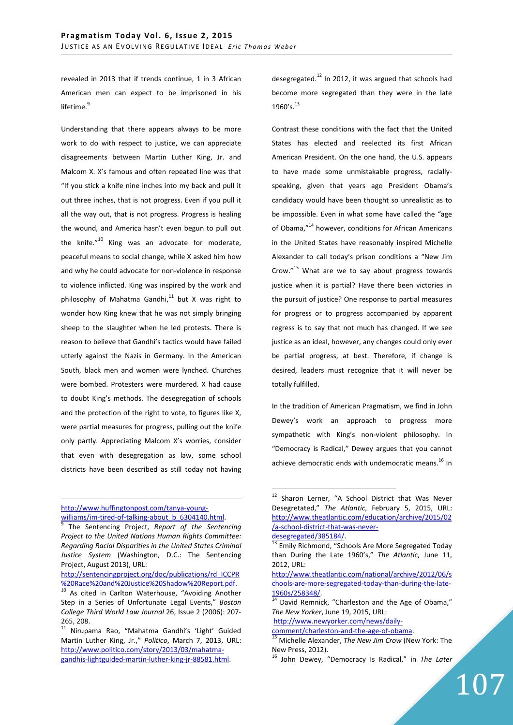revealed in 2013 that if trends continue, 1 in 3 African American men can expect to be imprisoned in his lifetime.<sup>9</sup>

Understanding that there appears always to be more work to do with respect to justice, we can appreciate disagreements between Martin Luther King, Jr. and Malcom X. X's famous and often repeated line was that "If you stick a knife nine inches into my back and pull it out three inches, that is not progress. Even if you pull it all the way out, that is not progress. Progress is healing the wound, and America hasn't even begun to pull out the knife."<sup>10</sup> King was an advocate for moderate, peaceful means to social change, while X asked him how and why he could advocate for non-violence in response to violence inflicted. King was inspired by the work and philosophy of Mahatma Gandhi. $11$  but X was right to wonder how King knew that he was not simply bringing sheep to the slaughter when he led protests. There is reason to believe that Gandhi's tactics would have failed utterly against the Nazis in Germany. In the American South, black men and women were lynched. Churches were bombed. Protesters were murdered. X had cause to doubt King's methods. The desegregation of schools and the protection of the right to vote, to figures like X, were partial measures for progress, pulling out the knife only partly. Appreciating Malcom X's worries, consider that even with desegregation as law, some school districts have been described as still today not having

# http://www.huffingtonpost.com/tanya-youngwilliams/im-tired-of-talking-about\_b\_6304140.html.

<u>.</u>

desegregated. $^{12}$  In 2012, it was argued that schools had become more segregated than they were in the late 1960's. $^{13}$ 

Contrast these conditions with the fact that the United States has elected and reelected its first African American President. On the one hand, the U.S. appears to have made some unmistakable progress, raciallyspeaking, given that years ago President Obama's candidacy would have been thought so unrealistic as to be impossible. Even in what some have called the "age of Obama,"<sup>14</sup> however, conditions for African Americans in the United States have reasonably inspired Michelle Alexander to call today's prison conditions a "New Jim Crow."<sup>15</sup> What are we to say about progress towards justice when it is partial? Have there been victories in the pursuit of justice? One response to partial measures for progress or to progress accompanied by apparent regress is to say that not much has changed. If we see justice as an ideal, however, any changes could only ever be partial progress, at best. Therefore, if change is desired, leaders must recognize that it will never be totally fulfilled.

In the tradition of American Pragmatism, we find in John Dewey's work an approach to progress more sympathetic with King's non-violent philosophy. In "Democracy is Radical," Dewey argues that you cannot achieve democratic ends with undemocratic means.<sup>16</sup> In

http://www.newyorker.com/news/dailycomment/charleston-and-the-age-of-obama.

 $\overline{a}$ 

107

<sup>9</sup> The Sentencing Project, *Report of the Sentencing Project to the United Nations Human Rights Committee: Regarding Racial Disparities in the United States Criminal Justice System* (Washington, D.C.: The Sentencing Project, August 2013), URL:

http://sentencingproject.org/doc/publications/rd\_ICCPR %20Race%20and%20Justice%20Shadow%20Report.pdf.

As cited in Carlton Waterhouse, "Avoiding Another Step in a Series of Unfortunate Legal Events," *Boston College Third World Law Journal* 26, Issue 2 (2006): 207- 265, 208.

<sup>11</sup> Nirupama Rao, "Mahatma Gandhi's 'Light' Guided Martin Luther King, Jr.," *Politico*, March 7, 2013, URL: http://www.politico.com/story/2013/03/mahatmagandhis-lightguided-martin-luther-king-jr-88581.html.

 $12$  Sharon Lerner, "A School District that Was Never Desegretated," *The Atlantic*, February 5, 2015, URL: http://www.theatlantic.com/education/archive/2015/02 /a-school-district-that-was-neverdesegregated/385184/.

Emily Richmond, "Schools Are More Segregated Today than During the Late 1960's," *The Atlantic*, June 11, 2012, URL:

http://www.theatlantic.com/national/archive/2012/06/s chools-are-more-segregated-today-than-during-the-late-1960s/258348/.

David Remnick, "Charleston and the Age of Obama," *The New Yorker*, June 19, 2015, URL:

<sup>15</sup> Michelle Alexander, *The New Jim Crow* (New York: The New Press, 2012).

<sup>16</sup> John Dewey, "Democracy Is Radical," in *The Later*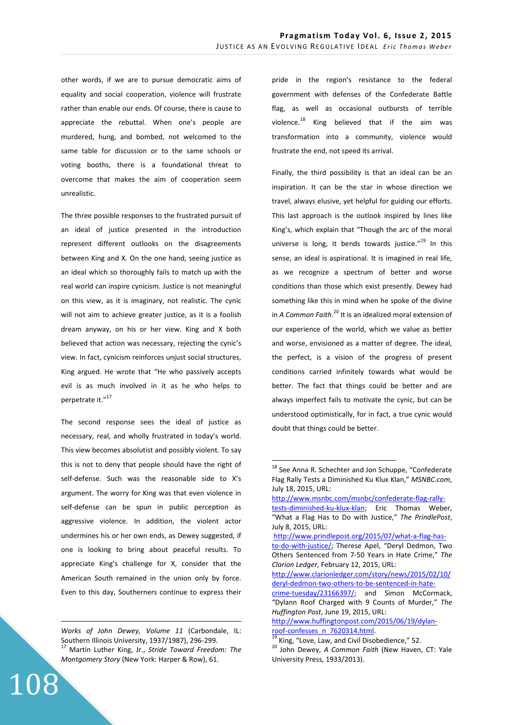other words, if we are to pursue democratic aims of equality and social cooperation, violence will frustrate rather than enable our ends. Of course, there is cause to appreciate the rebuttal. When one's people are murdered, hung, and bombed, not welcomed to the same table for discussion or to the same schools or voting booths, there is a foundational threat to overcome that makes the aim of cooperation seem unrealistic.

The three possible responses to the frustrated pursuit of an ideal of justice presented in the introduction represent different outlooks on the disagreements between King and X. On the one hand, seeing justice as an ideal which so thoroughly fails to match up with the real world can inspire cynicism. Justice is not meaningful on this view, as it is imaginary, not realistic. The cynic will not aim to achieve greater justice, as it is a foolish dream anyway, on his or her view. King and X both believed that action was necessary, rejecting the cynic's view. In fact, cynicism reinforces unjust social structures, King argued. He wrote that "He who passively accepts evil is as much involved in it as he who helps to perpetrate it."<sup>17</sup>

The second response sees the ideal of justice as necessary, real, and wholly frustrated in today's world. This view becomes absolutist and possibly violent. To say this is not to deny that people should have the right of self-defense. Such was the reasonable side to X's argument. The worry for King was that even violence in self-defense can be spun in public perception as aggressive violence. In addition, the violent actor undermines his or her own ends, as Dewey suggested, if one is looking to bring about peaceful results. To appreciate King's challenge for X, consider that the American South remained in the union only by force. Even to this day, Southerners continue to express their

108

<u>.</u>

pride in the region's resistance to the federal government with defenses of the Confederate Battle flag, as well as occasional outbursts of terrible violence. $^{18}$  King believed that if the aim was transformation into a community, violence would frustrate the end, not speed its arrival.

Finally, the third possibility is that an ideal can be an inspiration. It can be the star in whose direction we travel, always elusive, yet helpful for guiding our efforts. This last approach is the outlook inspired by lines like King's, which explain that "Though the arc of the moral universe is long, it bends towards justice. $"^{19}$  In this sense, an ideal is aspirational. It is imagined in real life, as we recognize a spectrum of better and worse conditions than those which exist presently. Dewey had something like this in mind when he spoke of the divine in *A Common Faith*.<sup>20</sup> It is an idealized moral extension of our experience of the world, which we value as better and worse, envisioned as a matter of degree. The ideal, the perfect, is a vision of the progress of present conditions carried infinitely towards what would be better. The fact that things could be better and are always imperfect fails to motivate the cynic, but can be understood optimistically, for in fact, a true cynic would doubt that things could be better.

*Works of John Dewey, Volume 11* (Carbondale, IL: Southern Illinois University, 1937/1987), 296-299. <sup>17</sup> Martin Luther King, Jr., *Stride Toward Freedom: The Montgomery Story* (New York: Harper & Row), 61.

<sup>&</sup>lt;sup>18</sup> See Anna R. Schechter and Jon Schuppe, "Confederate Flag Rally Tests a Diminished Ku Klux Klan," *MSNBC.com*, July 18, 2015, URL:

http://www.msnbc.com/msnbc/confederate-flag-rallytests-diminished-ku-klux-klan; Eric Thomas Weber, "What a Flag Has to Do with Justice," *The PrindlePost*,

July 8, 2015, URL: http://www.prindlepost.org/2015/07/what-a-flag-hasto-do-with-justice/; Therese Apel, "Deryl Dedmon, Two Others Sentenced from 7-50 Years in Hate Crime," *The* 

*Clarion Ledger*, February 12, 2015, URL: http://www.clarionledger.com/story/news/2015/02/10/

deryl-dedmon-two-others-to-be-sentenced-in-hate-

crime-tuesday/23166397/; and Simon McCormack, "Dylann Roof Charged with 9 Counts of Murder," *The Huffington Post*, June 19, 2015, URL:

http://www.huffingtonpost.com/2015/06/19/dylanroof-confesses\_n\_7620314.html.

 $\overline{19}$  King, "Love, Law, and Civil Disobedience," 52.

<sup>20</sup> John Dewey, *A Common Faith* (New Haven, CT: Yale University Press, 1933/2013).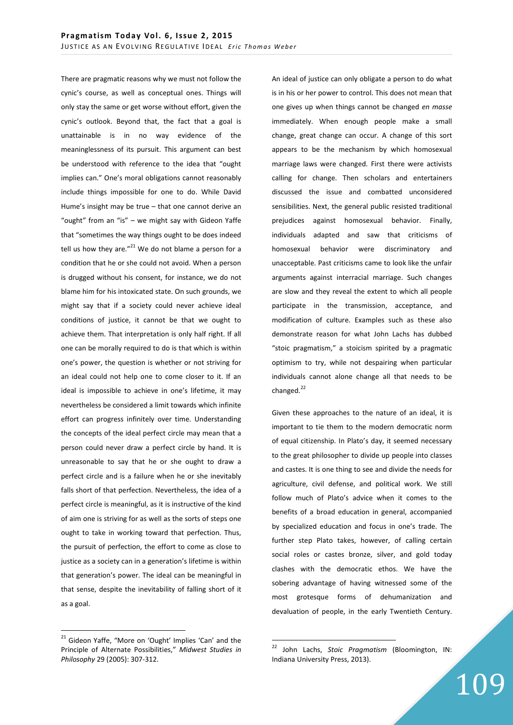There are pragmatic reasons why we must not follow the cynic's course, as well as conceptual ones. Things will only stay the same or get worse without effort, given the cynic's outlook. Beyond that, the fact that a goal is unattainable is in no way evidence of the meaninglessness of its pursuit. This argument can best be understood with reference to the idea that "ought implies can." One's moral obligations cannot reasonably include things impossible for one to do. While David Hume's insight may be true – that one cannot derive an "ought" from an "is" – we might say with Gideon Yaffe that "sometimes the way things ought to be does indeed tell us how they are. $"^{21}$  We do not blame a person for a condition that he or she could not avoid. When a person is drugged without his consent, for instance, we do not blame him for his intoxicated state. On such grounds, we might say that if a society could never achieve ideal conditions of justice, it cannot be that we ought to achieve them. That interpretation is only half right. If all one can be morally required to do is that which is within one's power, the question is whether or not striving for an ideal could not help one to come closer to it. If an ideal is impossible to achieve in one's lifetime, it may nevertheless be considered a limit towards which infinite effort can progress infinitely over time. Understanding the concepts of the ideal perfect circle may mean that a person could never draw a perfect circle by hand. It is unreasonable to say that he or she ought to draw a perfect circle and is a failure when he or she inevitably falls short of that perfection. Nevertheless, the idea of a perfect circle is meaningful, as it is instructive of the kind of aim one is striving for as well as the sorts of steps one ought to take in working toward that perfection. Thus, the pursuit of perfection, the effort to come as close to justice as a society can in a generation's lifetime is within that generation's power. The ideal can be meaningful in that sense, despite the inevitability of falling short of it as a goal.

<sup>21</sup> Gideon Yaffe, "More on 'Ought' Implies 'Can' and the Principle of Alternate Possibilities," *Midwest Studies in Philosophy* 29 (2005): 307-312.

 $\overline{a}$ 

An ideal of justice can only obligate a person to do what is in his or her power to control. This does not mean that one gives up when things cannot be changed *en masse* immediately. When enough people make a small change, great change can occur. A change of this sort appears to be the mechanism by which homosexual marriage laws were changed. First there were activists calling for change. Then scholars and entertainers discussed the issue and combatted unconsidered sensibilities. Next, the general public resisted traditional prejudices against homosexual behavior. Finally, individuals adapted and saw that criticisms of homosexual behavior were discriminatory and unacceptable. Past criticisms came to look like the unfair arguments against interracial marriage. Such changes are slow and they reveal the extent to which all people participate in the transmission, acceptance, and modification of culture. Examples such as these also demonstrate reason for what John Lachs has dubbed "stoic pragmatism," a stoicism spirited by a pragmatic optimism to try, while not despairing when particular individuals cannot alone change all that needs to be changed. $^{22}$ 

Given these approaches to the nature of an ideal, it is important to tie them to the modern democratic norm of equal citizenship. In Plato's day, it seemed necessary to the great philosopher to divide up people into classes and castes. It is one thing to see and divide the needs for agriculture, civil defense, and political work. We still follow much of Plato's advice when it comes to the benefits of a broad education in general, accompanied by specialized education and focus in one's trade. The further step Plato takes, however, of calling certain social roles or castes bronze, silver, and gold today clashes with the democratic ethos. We have the sobering advantage of having witnessed some of the most grotesque forms of dehumanization and devaluation of people, in the early Twentieth Century.

<sup>22</sup> John Lachs, *Stoic Pragmatism* (Bloomington, IN: Indiana University Press, 2013).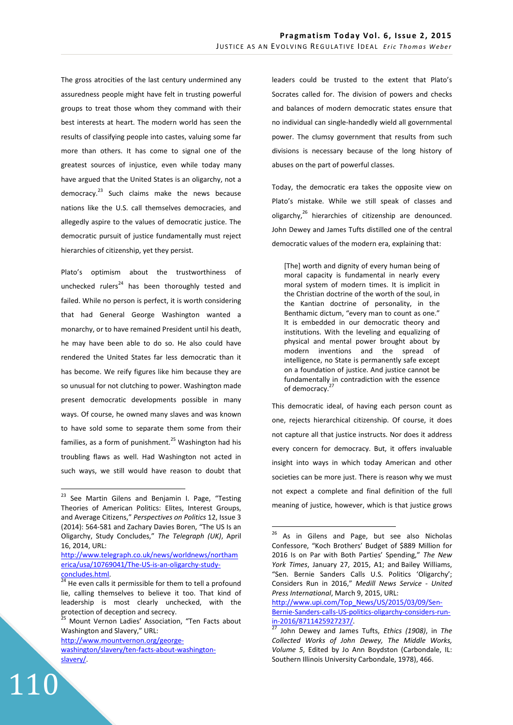The gross atrocities of the last century undermined any assuredness people might have felt in trusting powerful groups to treat those whom they command with their best interests at heart. The modern world has seen the results of classifying people into castes, valuing some far more than others. It has come to signal one of the greatest sources of injustice, even while today many have argued that the United States is an oligarchy, not a democracy. $^{23}$  Such claims make the news because nations like the U.S. call themselves democracies, and allegedly aspire to the values of democratic justice. The democratic pursuit of justice fundamentally must reject hierarchies of citizenship, yet they persist.

Plato's optimism about the trustworthiness of unchecked rulers $^{24}$  has been thoroughly tested and failed. While no person is perfect, it is worth considering that had General George Washington wanted a monarchy, or to have remained President until his death, he may have been able to do so. He also could have rendered the United States far less democratic than it has become. We reify figures like him because they are so unusual for not clutching to power. Washington made present democratic developments possible in many ways. Of course, he owned many slaves and was known to have sold some to separate them some from their families, as a form of punishment.<sup>25</sup> Washington had his troubling flaws as well. Had Washington not acted in such ways, we still would have reason to doubt that

http://www.mountvernon.org/george-

110

 $\overline{a}$ 

leaders could be trusted to the extent that Plato's Socrates called for. The division of powers and checks and balances of modern democratic states ensure that no individual can single-handedly wield all governmental power. The clumsy government that results from such divisions is necessary because of the long history of abuses on the part of powerful classes.

Today, the democratic era takes the opposite view on Plato's mistake. While we still speak of classes and oligarchy, $^{26}$  hierarchies of citizenship are denounced. John Dewey and James Tufts distilled one of the central democratic values of the modern era, explaining that:

[The] worth and dignity of every human being of moral capacity is fundamental in nearly every moral system of modern times. It is implicit in the Christian doctrine of the worth of the soul, in the Kantian doctrine of personality, in the Benthamic dictum, "every man to count as one." It is embedded in our democratic theory and institutions. With the leveling and equalizing of physical and mental power brought about by modern inventions and the spread of intelligence, no State is permanently safe except on a foundation of justice. And justice cannot be fundamentally in contradiction with the essence of democracy.<sup>2</sup>

This democratic ideal, of having each person count as one, rejects hierarchical citizenship. Of course, it does not capture all that justice instructs. Nor does it address every concern for democracy. But, it offers invaluable insight into ways in which today American and other societies can be more just. There is reason why we must not expect a complete and final definition of the full meaning of justice, however, which is that justice grows

 $\overline{a}$ 

http://www.upi.com/Top\_News/US/2015/03/09/Sen-Bernie-Sanders-calls-US-politics-oligarchy-considers-runin-2016/8711425927237/.

<sup>&</sup>lt;sup>23</sup> See Martin Gilens and Benjamin I. Page, "Testing Theories of American Politics: Elites, Interest Groups, and Average Citizens," *Perspectives on Politics* 12, Issue 3 (2014): 564-581 and Zachary Davies Boren, "The US Is an Oligarchy, Study Concludes," *The Telegraph (UK)*, April 16, 2014, URL:

http://www.telegraph.co.uk/news/worldnews/northam erica/usa/10769041/The-US-is-an-oligarchy-studyconcludes.html.

 $\frac{24}{24}$  He even calls it permissible for them to tell a profound lie, calling themselves to believe it too. That kind of leadership is most clearly unchecked, with the protection of deception and secrecy.

Mount Vernon Ladies' Association, "Ten Facts about Washington and Slavery," URL:

washington/slavery/ten-facts-about-washingtonslavery/.

 $26$  As in Gilens and Page, but see also Nicholas Confessore, "Koch Brothers' Budget of \$889 Million for 2016 Is on Par with Both Parties' Spending," *The New York Times*, January 27, 2015, A1; and Bailey Williams, "Sen. Bernie Sanders Calls U.S. Politics 'Oligarchy'; Considers Run in 2016," *Medill News Service - United Press International*, March 9, 2015, URL:

<sup>27</sup> John Dewey and James Tufts, *Ethics (1908)*, in *The Collected Works of John Dewey, The Middle Works, Volume 5*, Edited by Jo Ann Boydston (Carbondale, IL: Southern Illinois University Carbondale, 1978), 466.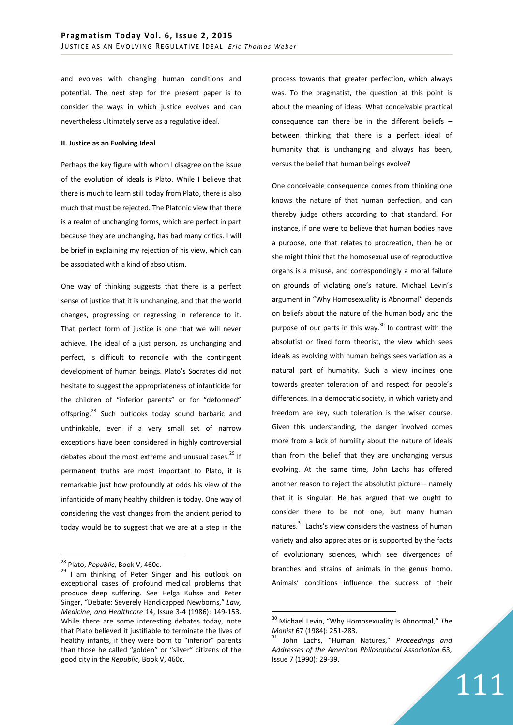and evolves with changing human conditions and potential. The next step for the present paper is to consider the ways in which justice evolves and can nevertheless ultimately serve as a regulative ideal.

#### **II. Justice as an Evolving Ideal**

Perhaps the key figure with whom I disagree on the issue of the evolution of ideals is Plato. While I believe that there is much to learn still today from Plato, there is also much that must be rejected. The Platonic view that there is a realm of unchanging forms, which are perfect in part because they are unchanging, has had many critics. I will be brief in explaining my rejection of his view, which can be associated with a kind of absolutism.

One way of thinking suggests that there is a perfect sense of justice that it is unchanging, and that the world changes, progressing or regressing in reference to it. That perfect form of justice is one that we will never achieve. The ideal of a just person, as unchanging and perfect, is difficult to reconcile with the contingent development of human beings. Plato's Socrates did not hesitate to suggest the appropriateness of infanticide for the children of "inferior parents" or for "deformed" offspring.<sup>28</sup> Such outlooks today sound barbaric and unthinkable, even if a very small set of narrow exceptions have been considered in highly controversial debates about the most extreme and unusual cases. $^{29}$  If permanent truths are most important to Plato, it is remarkable just how profoundly at odds his view of the infanticide of many healthy children is today. One way of considering the vast changes from the ancient period to today would be to suggest that we are at a step in the

 $\overline{a}$ 

process towards that greater perfection, which always was. To the pragmatist, the question at this point is about the meaning of ideas. What conceivable practical consequence can there be in the different beliefs – between thinking that there is a perfect ideal of humanity that is unchanging and always has been, versus the belief that human beings evolve?

One conceivable consequence comes from thinking one knows the nature of that human perfection, and can thereby judge others according to that standard. For instance, if one were to believe that human bodies have a purpose, one that relates to procreation, then he or she might think that the homosexual use of reproductive organs is a misuse, and correspondingly a moral failure on grounds of violating one's nature. Michael Levin's argument in "Why Homosexuality is Abnormal" depends on beliefs about the nature of the human body and the purpose of our parts in this way. $30$  In contrast with the absolutist or fixed form theorist, the view which sees ideals as evolving with human beings sees variation as a natural part of humanity. Such a view inclines one towards greater toleration of and respect for people's differences. In a democratic society, in which variety and freedom are key, such toleration is the wiser course. Given this understanding, the danger involved comes more from a lack of humility about the nature of ideals than from the belief that they are unchanging versus evolving. At the same time, John Lachs has offered another reason to reject the absolutist picture – namely that it is singular. He has argued that we ought to consider there to be not one, but many human natures.<sup>31</sup> Lachs's view considers the vastness of human variety and also appreciates or is supported by the facts of evolutionary sciences, which see divergences of branches and strains of animals in the genus homo. Animals' conditions influence the success of their

 $\overline{a}$ 

111

<sup>28</sup> Plato, *Republic*, Book V, 460c.

<sup>&</sup>lt;sup>29</sup> I am thinking of Peter Singer and his outlook on exceptional cases of profound medical problems that produce deep suffering. See Helga Kuhse and Peter Singer, "Debate: Severely Handicapped Newborns," *Law, Medicine, and Healthcare* 14, Issue 3-4 (1986): 149-153. While there are some interesting debates today, note that Plato believed it justifiable to terminate the lives of healthy infants, if they were born to "inferior" parents than those he called "golden" or "silver" citizens of the good city in the *Republic*, Book V, 460c.

<sup>30</sup> Michael Levin, "Why Homosexuality Is Abnormal," *The Monist* 67 (1984): 251-283.

<sup>31</sup> John Lachs, "Human Natures," *Proceedings and Addresses of the American Philosophical Association* 63, Issue 7 (1990): 29-39.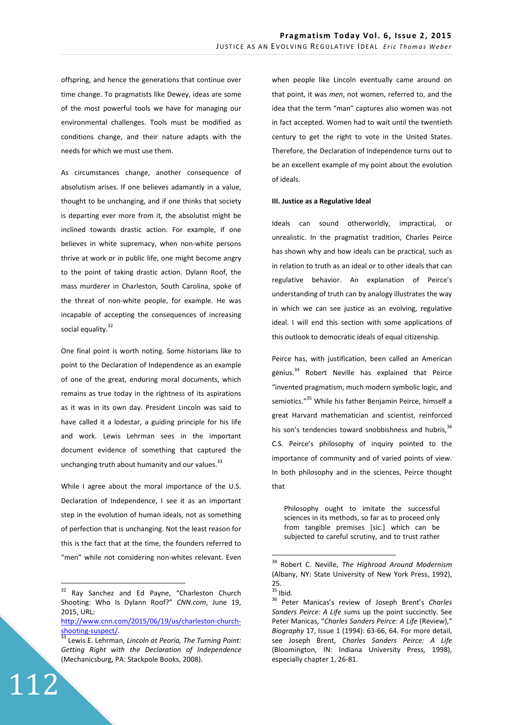offspring, and hence the generations that continue over time change. To pragmatists like Dewey, ideas are some of the most powerful tools we have for managing our environmental challenges. Tools must be modified as conditions change, and their nature adapts with the needs for which we must use them.

As circumstances change, another consequence of absolutism arises. If one believes adamantly in a value, thought to be unchanging, and if one thinks that society is departing ever more from it, the absolutist might be inclined towards drastic action. For example, if one believes in white supremacy, when non-white persons thrive at work or in public life, one might become angry to the point of taking drastic action. Dylann Roof, the mass murderer in Charleston, South Carolina, spoke of the threat of non-white people, for example. He was incapable of accepting the consequences of increasing social equality.<sup>32</sup>

One final point is worth noting. Some historians like to point to the Declaration of Independence as an example of one of the great, enduring moral documents, which remains as true today in the rightness of its aspirations as it was in its own day. President Lincoln was said to have called it a lodestar, a guiding principle for his life and work. Lewis Lehrman sees in the important document evidence of something that captured the unchanging truth about humanity and our values. $^{33}$ 

While I agree about the moral importance of the U.S. Declaration of Independence, I see it as an important step in the evolution of human ideals, not as something of perfection that is unchanging. Not the least reason for this is the fact that at the time, the founders referred to "men" while not considering non-whites relevant. Even

112

 $\overline{a}$ 

when people like Lincoln eventually came around on that point, it was *men*, not women, referred to, and the idea that the term "man" captures also women was not in fact accepted. Women had to wait until the twentieth century to get the right to vote in the United States. Therefore, the Declaration of Independence turns out to be an excellent example of my point about the evolution of ideals.

## **III. Justice as a Regulative Ideal**

Ideals can sound otherworldly, impractical, or unrealistic. In the pragmatist tradition, Charles Peirce has shown why and how ideals can be practical, such as in relation to truth as an ideal or to other ideals that can regulative behavior. An explanation of Peirce's understanding of truth can by analogy illustrates the way in which we can see justice as an evolving, regulative ideal. I will end this section with some applications of this outlook to democratic ideals of equal citizenship.

Peirce has, with justification, been called an American genius.<sup>34</sup> Robert Neville has explained that Peirce "invented pragmatism, much modern symbolic logic, and semiotics."<sup>35</sup> While his father Benjamin Peirce, himself a great Harvard mathematician and scientist, reinforced his son's tendencies toward snobbishness and hubris, 36 C.S. Peirce's philosophy of inquiry pointed to the importance of community and of varied points of view. In both philosophy and in the sciences, Peirce thought that

Philosophy ought to imitate the successful sciences in its methods, so far as to proceed only from tangible premises [sic.] which can be subjected to careful scrutiny, and to trust rather

<sup>&</sup>lt;sup>32</sup> Ray Sanchez and Ed Payne, "Charleston Church Shooting: Who Is Dylann Roof?" *CNN.com*, June 19, 2015, URL:

http://www.cnn.com/2015/06/19/us/charleston-churchshooting-suspect/.

<sup>33</sup> Lewis E. Lehrman, *Lincoln at Peoria, The Turning Point: Getting Right with the Declaration of Independence* (Mechanicsburg, PA: Stackpole Books, 2008).

<sup>34</sup> Robert C. Neville, *The Highroad Around Modernism* (Albany, NY: State University of New York Press, 1992), 25.

 $\frac{2}{35}$  Ibid.

<sup>36</sup> Peter Manicas's review of Joseph Brent's *Charles Sanders Peirce: A Life* sums up the point succinctly. See Peter Manicas, "*Charles Sanders Peirce: A Life* (Review)," *Biography* 17, Issue 1 (1994): 63-66, 64. For more detail, see Joseph Brent, *Charles Sanders Peirce: A Life* (Bloomington, IN: Indiana University Press, 1998), especially chapter 1, 26-81.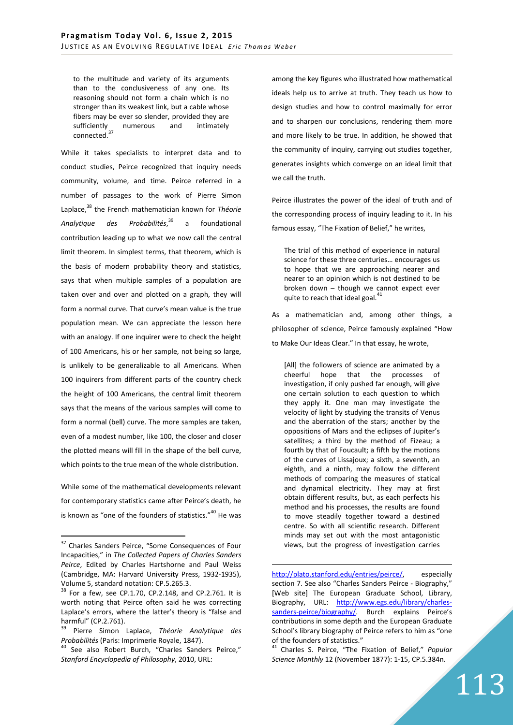to the multitude and variety of its arguments than to the conclusiveness of any one. Its reasoning should not form a chain which is no stronger than its weakest link, but a cable whose fibers may be ever so slender, provided they are sufficiently numerous and intimately connected.<sup>37</sup>

While it takes specialists to interpret data and to conduct studies, Peirce recognized that inquiry needs community, volume, and time. Peirce referred in a number of passages to the work of Pierre Simon Laplace,<sup>38</sup> the French mathematician known for *Théorie Analytique des Probabilités*, a foundational contribution leading up to what we now call the central limit theorem. In simplest terms, that theorem, which is the basis of modern probability theory and statistics, says that when multiple samples of a population are taken over and over and plotted on a graph, they will form a normal curve. That curve's mean value is the true population mean. We can appreciate the lesson here with an analogy. If one inquirer were to check the height of 100 Americans, his or her sample, not being so large, is unlikely to be generalizable to all Americans. When 100 inquirers from different parts of the country check the height of 100 Americans, the central limit theorem says that the means of the various samples will come to form a normal (bell) curve. The more samples are taken, even of a modest number, like 100, the closer and closer the plotted means will fill in the shape of the bell curve, which points to the true mean of the whole distribution.

While some of the mathematical developments relevant for contemporary statistics came after Peirce's death, he is known as "one of the founders of statistics."<sup>40</sup> He was

 $\overline{a}$ 

among the key figures who illustrated how mathematical ideals help us to arrive at truth. They teach us how to design studies and how to control maximally for error and to sharpen our conclusions, rendering them more and more likely to be true. In addition, he showed that the community of inquiry, carrying out studies together, generates insights which converge on an ideal limit that we call the truth.

Peirce illustrates the power of the ideal of truth and of the corresponding process of inquiry leading to it. In his famous essay, "The Fixation of Belief," he writes,

The trial of this method of experience in natural science for these three centuries… encourages us to hope that we are approaching nearer and nearer to an opinion which is not destined to be broken down – though we cannot expect ever quite to reach that ideal goal.<sup>41</sup>

As a mathematician and, among other things, a philosopher of science, Peirce famously explained "How to Make Our Ideas Clear." In that essay, he wrote,

[All] the followers of science are animated by a cheerful hope that the processes of investigation, if only pushed far enough, will give one certain solution to each question to which they apply it. One man may investigate the velocity of light by studying the transits of Venus and the aberration of the stars; another by the oppositions of Mars and the eclipses of Jupiter's satellites; a third by the method of Fizeau; a fourth by that of Foucault; a fifth by the motions of the curves of Lissajoux; a sixth, a seventh, an eighth, and a ninth, may follow the different methods of comparing the measures of statical and dynamical electricity. They may at first obtain different results, but, as each perfects his method and his processes, the results are found to move steadily together toward a destined centre. So with all scientific research. Different minds may set out with the most antagonistic views, but the progress of investigation carries

http://plato.stanford.edu/entries/peirce/, especially section 7. See also "Charles Sanders Peirce - Biography," [Web site] The European Graduate School, Library, Biography, URL: http://www.egs.edu/library/charlessanders-peirce/biography/. Burch explains Peirce's contributions in some depth and the European Graduate School's library biography of Peirce refers to him as "one of the founders of statistics."

<sup>&</sup>lt;sup>37</sup> Charles Sanders Peirce, "Some Consequences of Four Incapacities," in *The Collected Papers of Charles Sanders Peirce*, Edited by Charles Hartshorne and Paul Weiss (Cambridge, MA: Harvard University Press, 1932-1935), Volume 5, standard notation: CP.5.265.3.

 $38$  For a few, see CP.1.70, CP.2.148, and CP.2.761. It is worth noting that Peirce often said he was correcting Laplace's errors, where the latter's theory is "false and harmful" (CP.2.761).

<sup>39</sup> Pierre Simon Laplace, *Théorie Analytique des Probabilités* (Paris: Imprimerie Royale, 1847).

<sup>&</sup>lt;sup>40</sup> See also Robert Burch, "Charles Sanders Peirce," *Stanford Encyclopedia of Philosophy*, 2010, URL:

<sup>41</sup> Charles S. Peirce, "The Fixation of Belief," *Popular Science Monthly* 12 (November 1877): 1-15, CP.5.384n.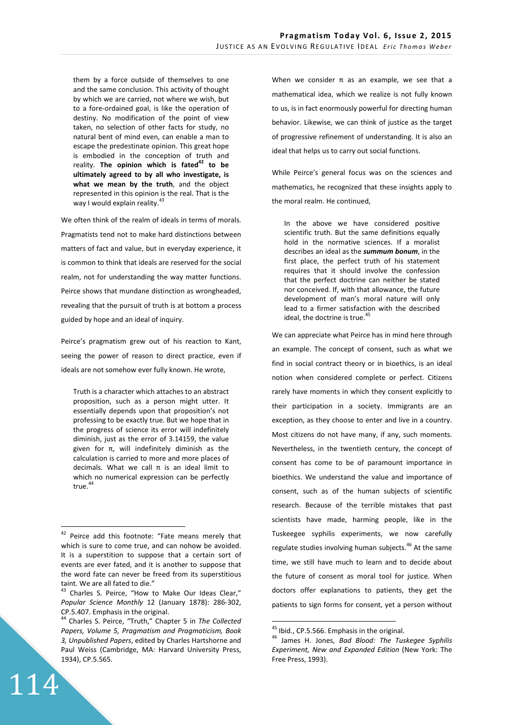them by a force outside of themselves to one and the same conclusion. This activity of thought by which we are carried, not where we wish, but to a fore-ordained goal, is like the operation of destiny. No modification of the point of view taken, no selection of other facts for study, no natural bent of mind even, can enable a man to escape the predestinate opinion. This great hope is embodied in the conception of truth and reality. **The opinion which is fated<sup>42</sup> to be ultimately agreed to by all who investigate, is what we mean by the truth**, and the object represented in this opinion is the real. That is the way I would explain reality.<sup>43</sup>

We often think of the realm of ideals in terms of morals. Pragmatists tend not to make hard distinctions between matters of fact and value, but in everyday experience, it is common to think that ideals are reserved for the social realm, not for understanding the way matter functions. Peirce shows that mundane distinction as wrongheaded, revealing that the pursuit of truth is at bottom a process guided by hope and an ideal of inquiry.

Peirce's pragmatism grew out of his reaction to Kant, seeing the power of reason to direct practice, even if ideals are not somehow ever fully known. He wrote,

Truth is a character which attaches to an abstract proposition, such as a person might utter. It essentially depends upon that proposition's not professing to be exactly true. But we hope that in the progress of science its error will indefinitely diminish, just as the error of 3.14159, the value given for π, will indefinitely diminish as the calculation is carried to more and more places of decimals. What we call π is an ideal limit to which no numerical expression can be perfectly true.<sup>44</sup>

114

 $\overline{a}$ 

When we consider  $\pi$  as an example, we see that a mathematical idea, which we realize is not fully known to us, is in fact enormously powerful for directing human behavior. Likewise, we can think of justice as the target of progressive refinement of understanding. It is also an ideal that helps us to carry out social functions.

While Peirce's general focus was on the sciences and mathematics, he recognized that these insights apply to the moral realm. He continued,

In the above we have considered positive scientific truth. But the same definitions equally hold in the normative sciences. If a moralist describes an ideal as the *summum bonum*, in the first place, the perfect truth of his statement requires that it should involve the confession that the perfect doctrine can neither be stated nor conceived. If, with that allowance, the future development of man's moral nature will only lead to a firmer satisfaction with the described ideal, the doctrine is true.<sup>45</sup>

We can appreciate what Peirce has in mind here through an example. The concept of consent, such as what we find in social contract theory or in bioethics, is an ideal notion when considered complete or perfect. Citizens rarely have moments in which they consent explicitly to their participation in a society. Immigrants are an exception, as they choose to enter and live in a country. Most citizens do not have many, if any, such moments. Nevertheless, in the twentieth century, the concept of consent has come to be of paramount importance in bioethics. We understand the value and importance of consent, such as of the human subjects of scientific research. Because of the terrible mistakes that past scientists have made, harming people, like in the Tuskeegee syphilis experiments, we now carefully regulate studies involving human subjects.<sup>46</sup> At the same time, we still have much to learn and to decide about the future of consent as moral tool for justice. When doctors offer explanations to patients, they get the patients to sign forms for consent, yet a person without

<sup>&</sup>lt;sup>42</sup> Peirce add this footnote: "Fate means merely that which is sure to come true, and can nohow be avoided. It is a superstition to suppose that a certain sort of events are ever fated, and it is another to suppose that the word fate can never be freed from its superstitious taint. We are all fated to die."

<sup>&</sup>lt;sup>43</sup> Charles S. Peirce, "How to Make Our Ideas Clear," *Popular Science Monthly* 12 (January 1878): 286-302, CP.5.407. Emphasis in the original.

<sup>44</sup> Charles S. Peirce, "Truth," Chapter 5 in *The Collected Papers, Volume 5, Pragmatism and Pragmaticism, Book 3, Unpublished Papers*, edited by Charles Hartshorne and Paul Weiss (Cambridge, MA: Harvard University Press, 1934), CP.5.565.

<sup>&</sup>lt;sup>45</sup> Ibid., CP.5.566. Emphasis in the original.

<sup>46</sup> James H. Jones, *Bad Blood: The Tuskegee Syphilis Experiment, New and Expanded Edition* (New York: The Free Press, 1993).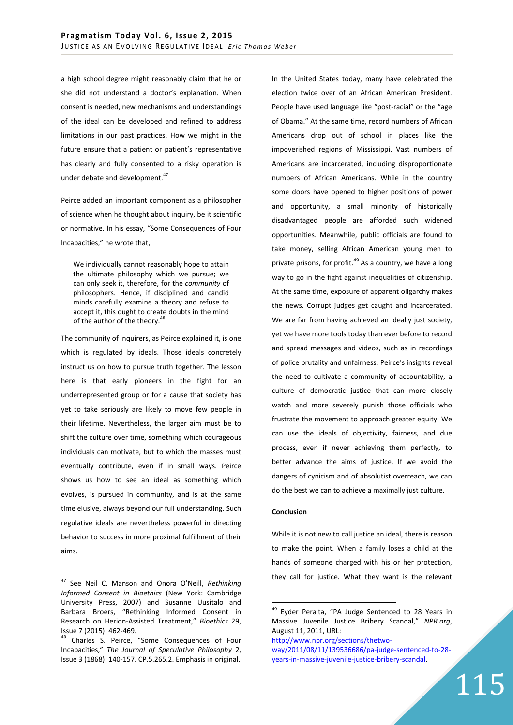a high school degree might reasonably claim that he or she did not understand a doctor's explanation. When consent is needed, new mechanisms and understandings of the ideal can be developed and refined to address limitations in our past practices. How we might in the future ensure that a patient or patient's representative has clearly and fully consented to a risky operation is under debate and development.<sup>47</sup>

Peirce added an important component as a philosopher of science when he thought about inquiry, be it scientific or normative. In his essay, "Some Consequences of Four Incapacities," he wrote that,

We individually cannot reasonably hope to attain the ultimate philosophy which we pursue; we can only seek it, therefore, for the *community* of philosophers. Hence, if disciplined and candid minds carefully examine a theory and refuse to accept it, this ought to create doubts in the mind of the author of the theory.<sup>4</sup>

The community of inquirers, as Peirce explained it, is one which is regulated by ideals. Those ideals concretely instruct us on how to pursue truth together. The lesson here is that early pioneers in the fight for an underrepresented group or for a cause that society has yet to take seriously are likely to move few people in their lifetime. Nevertheless, the larger aim must be to shift the culture over time, something which courageous individuals can motivate, but to which the masses must eventually contribute, even if in small ways. Peirce shows us how to see an ideal as something which evolves, is pursued in community, and is at the same time elusive, always beyond our full understanding. Such regulative ideals are nevertheless powerful in directing behavior to success in more proximal fulfillment of their aims.

 $\overline{a}$ 

In the United States today, many have celebrated the election twice over of an African American President. People have used language like "post-racial" or the "age of Obama." At the same time, record numbers of African Americans drop out of school in places like the impoverished regions of Mississippi. Vast numbers of Americans are incarcerated, including disproportionate numbers of African Americans. While in the country some doors have opened to higher positions of power and opportunity, a small minority of historically disadvantaged people are afforded such widened opportunities. Meanwhile, public officials are found to take money, selling African American young men to private prisons, for profit.<sup>49</sup> As a country, we have a long way to go in the fight against inequalities of citizenship. At the same time, exposure of apparent oligarchy makes the news. Corrupt judges get caught and incarcerated. We are far from having achieved an ideally just society, yet we have more tools today than ever before to record and spread messages and videos, such as in recordings of police brutality and unfairness. Peirce's insights reveal the need to cultivate a community of accountability, a culture of democratic justice that can more closely watch and more severely punish those officials who frustrate the movement to approach greater equity. We can use the ideals of objectivity, fairness, and due process, even if never achieving them perfectly, to better advance the aims of justice. If we avoid the dangers of cynicism and of absolutist overreach, we can do the best we can to achieve a maximally just culture.

# **Conclusion**

 $\overline{a}$ 

While it is not new to call justice an ideal, there is reason to make the point. When a family loses a child at the hands of someone charged with his or her protection, they call for justice. What they want is the relevant

http://www.npr.org/sections/thetwoway/2011/08/11/139536686/pa-judge-sentenced-to-28 years-in-massive-juvenile-justice-bribery-scandal.

115

<sup>47</sup> See Neil C. Manson and Onora O'Neill, *Rethinking Informed Consent in Bioethics* (New York: Cambridge University Press, 2007) and Susanne Uusitalo and Barbara Broers, "Rethinking Informed Consent in Research on Herion-Assisted Treatment," *Bioethics* 29, Issue 7 (2015): 462-469.

<sup>48</sup> Charles S. Peirce, "Some Consequences of Four Incapacities," *The Journal of Speculative Philosophy* 2, Issue 3 (1868): 140-157. CP.5.265.2. Emphasis in original.

<sup>&</sup>lt;sup>49</sup> Eyder Peralta, "PA Judge Sentenced to 28 Years in Massive Juvenile Justice Bribery Scandal," *NPR.org*, August 11, 2011, URL: